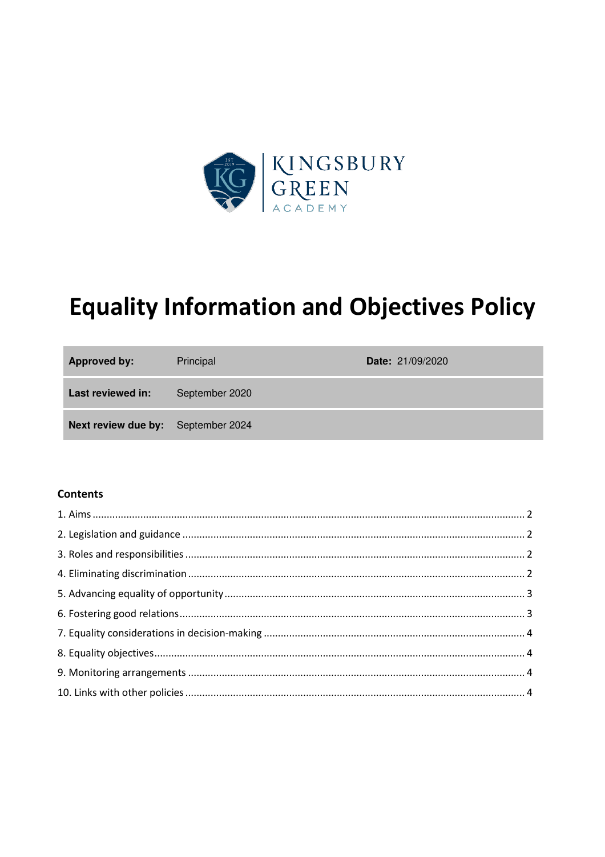

# **Equality Information and Objectives Policy**

| <b>Approved by:</b>                       | Principal      | <b>Date: 21/09/2020</b> |
|-------------------------------------------|----------------|-------------------------|
| Last reviewed in:                         | September 2020 |                         |
| <b>Next review due by:</b> September 2024 |                |                         |

#### **Contents**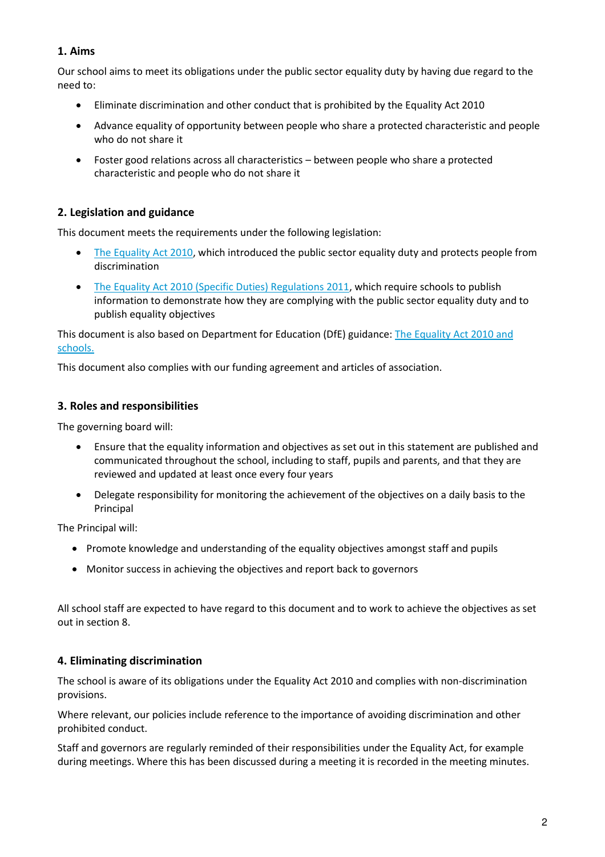# **1. Aims**

Our school aims to meet its obligations under the public sector equality duty by having due regard to the need to:

- Eliminate discrimination and other conduct that is prohibited by the Equality Act 2010
- Advance equality of opportunity between people who share a protected characteristic and people who do not share it
- Foster good relations across all characteristics between people who share a protected characteristic and people who do not share it

# **2. Legislation and guidance**

This document meets the requirements under the following legislation:

- [The Equality Act 2010,](http://www.legislation.gov.uk/ukpga/2010/15/contents) which introduced the public sector equality duty and protects people from discrimination
- [The Equality Act 2010 \(Specific Duties\) Regulations 2011,](http://www.legislation.gov.uk/uksi/2011/2260/contents/made) which require schools to publish information to demonstrate how they are complying with the public sector equality duty and to publish equality objectives

#### This document is also based on Department for Education (DfE) guidance: The Equality Act 2010 and [schools.](https://www.gov.uk/government/uploads/system/uploads/attachment_data/file/315587/Equality_Act_Advice_Final.pdf)

This document also complies with our funding agreement and articles of association.

## **3. Roles and responsibilities**

The governing board will:

- Ensure that the equality information and objectives as set out in this statement are published and communicated throughout the school, including to staff, pupils and parents, and that they are reviewed and updated at least once every four years
- Delegate responsibility for monitoring the achievement of the objectives on a daily basis to the Principal

The Principal will:

- Promote knowledge and understanding of the equality objectives amongst staff and pupils
- Monitor success in achieving the objectives and report back to governors

All school staff are expected to have regard to this document and to work to achieve the objectives as set out in section 8.

# **4. Eliminating discrimination**

The school is aware of its obligations under the Equality Act 2010 and complies with non-discrimination provisions.

Where relevant, our policies include reference to the importance of avoiding discrimination and other prohibited conduct.

Staff and governors are regularly reminded of their responsibilities under the Equality Act, for example during meetings. Where this has been discussed during a meeting it is recorded in the meeting minutes.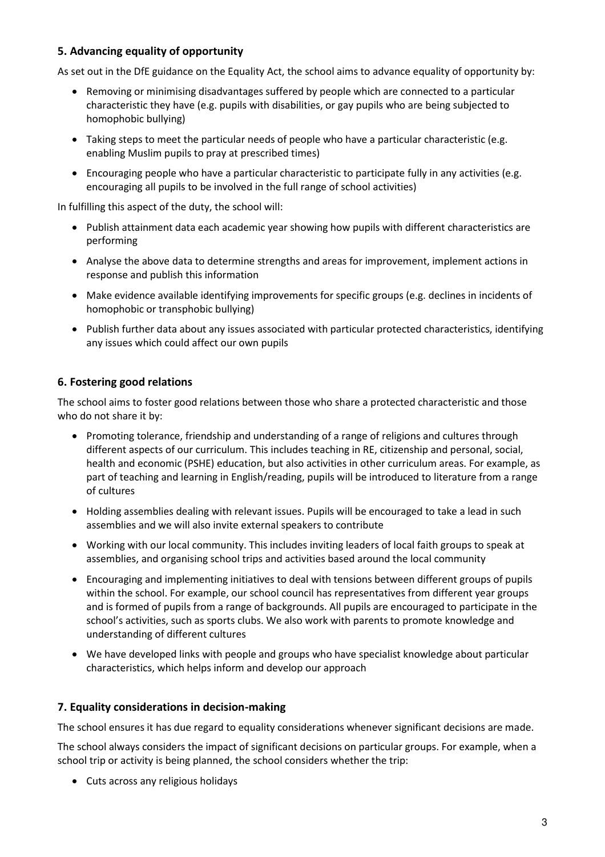# **5. Advancing equality of opportunity**

As set out in the DfE guidance on the Equality Act, the school aims to advance equality of opportunity by:

- Removing or minimising disadvantages suffered by people which are connected to a particular characteristic they have (e.g. pupils with disabilities, or gay pupils who are being subjected to homophobic bullying)
- Taking steps to meet the particular needs of people who have a particular characteristic (e.g. enabling Muslim pupils to pray at prescribed times)
- Encouraging people who have a particular characteristic to participate fully in any activities (e.g. encouraging all pupils to be involved in the full range of school activities)

In fulfilling this aspect of the duty, the school will:

- Publish attainment data each academic year showing how pupils with different characteristics are performing
- Analyse the above data to determine strengths and areas for improvement, implement actions in response and publish this information
- Make evidence available identifying improvements for specific groups (e.g. declines in incidents of homophobic or transphobic bullying)
- Publish further data about any issues associated with particular protected characteristics, identifying any issues which could affect our own pupils

# **6. Fostering good relations**

The school aims to foster good relations between those who share a protected characteristic and those who do not share it by:

- Promoting tolerance, friendship and understanding of a range of religions and cultures through different aspects of our curriculum. This includes teaching in RE, citizenship and personal, social, health and economic (PSHE) education, but also activities in other curriculum areas. For example, as part of teaching and learning in English/reading, pupils will be introduced to literature from a range of cultures
- Holding assemblies dealing with relevant issues. Pupils will be encouraged to take a lead in such assemblies and we will also invite external speakers to contribute
- Working with our local community. This includes inviting leaders of local faith groups to speak at assemblies, and organising school trips and activities based around the local community
- Encouraging and implementing initiatives to deal with tensions between different groups of pupils within the school. For example, our school council has representatives from different year groups and is formed of pupils from a range of backgrounds. All pupils are encouraged to participate in the school's activities, such as sports clubs. We also work with parents to promote knowledge and understanding of different cultures
- We have developed links with people and groups who have specialist knowledge about particular characteristics, which helps inform and develop our approach

# **7. Equality considerations in decision-making**

The school ensures it has due regard to equality considerations whenever significant decisions are made.

The school always considers the impact of significant decisions on particular groups. For example, when a school trip or activity is being planned, the school considers whether the trip:

Cuts across any religious holidays